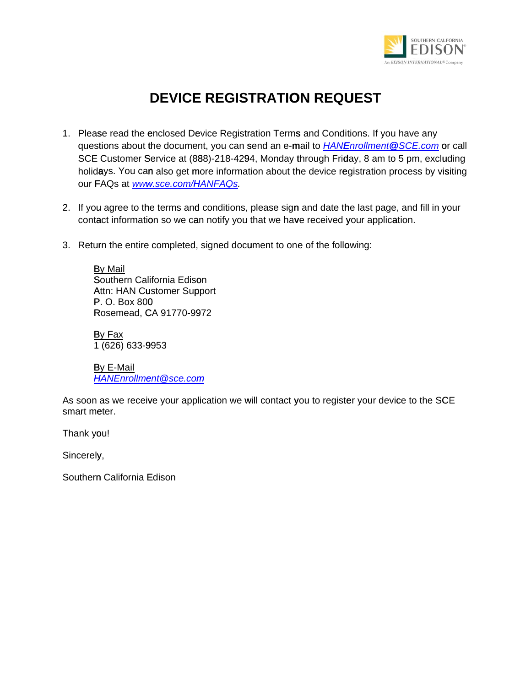

# **DEVICE REGISTRATION REQUEST**

- 1. Please read the enclosed Device Registration Terms and Conditions. If you have any questions about the document, you can send an e-mail to *[HANEnrollment@SCE.com](mailto:HANEnrollment@SCE.com)* or call SCE Customer Service at (888)-218-4294, Monday through Friday, 8 am to 5 pm, excluding holidays. You can also get more information about the device registration process by visiting our FAQs at *[www.sce.com/HANFAQs](www.sce.com/HANFAQS).*
- 2. If you agree to the terms and conditions, please sign and date the last page, and fill in your contact information so we can notify you that we have received your application.
- 3. Return the entire completed, signed document to one of the following:

By Mail Southern California Edison Attn: HAN Customer Support P. O. Box 800 Rosemead, CA 91770-9972

By Fax 1 (626) 633-9953

By E-Mail *[HANEnrollment@sce.com](mailto:HANEnrollment@SCE.com)*

As soon as we receive your application we will contact you to register your device to the SCE smart meter.

Thank you!

Sincerely,

Southern California Edison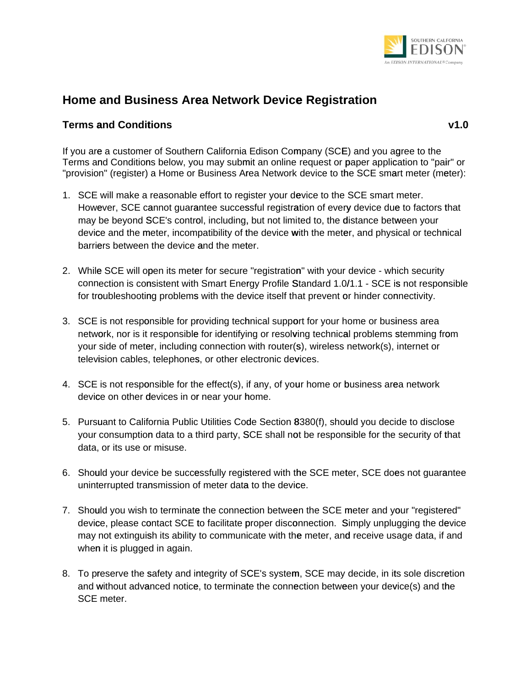

## **Home and Business Area Network Device Registration**

### **Terms and Conditions v1.0**

If you are a customer of Southern California Edison Company (SCE) and you agree to the Terms and Conditions below, you may submit an online request or paper application to "pair" or "provision" (register) a Home or Business Area Network device to the SCE smart meter (meter):

- 1. SCE will make a reasonable effort to register your device to the SCE smart meter. However, SCE cannot guarantee successful registration of every device due to factors that may be beyond SCE's control, including, but not limited to, the distance between your device and the meter, incompatibility of the device with the meter, and physical or technical barriers between the device and the meter.
- 2. While SCE will open its meter for secure "registration" with your device which security connection is consistent with Smart Energy Profile Standard 1.0/1.1 - SCE is not responsible for troubleshooting problems with the device itself that prevent or hinder connectivity.
- 3. SCE is not responsible for providing technical support for your home or business area network, nor is it responsible for identifying or resolving technical problems stemming from your side of meter, including connection with router(s), wireless network(s), internet or television cables, telephones, or other electronic devices.
- 4. SCE is not responsible for the effect(s), if any, of your home or business area network device on other devices in or near your home.
- 5. Pursuant to California Public Utilities Code Section 8380(f), should you decide to disclose fyour consumption data to a third party, SCE shall not be responsible for the security of that data, or its use or misuse.
- 6. Should your device be successfully registered with the SCE meter, SCE does not guarantee uninterrupted transmission of meter data to the device.
- 7. Should you wish to terminate the connection between the SCE meter and your "registered" device, please contact SCE to facilitate proper disconnection. Simply unplugging the device may not extinguish its ability to communicate with the meter, and receive usage data, if and when it is plugged in again.
- 8. To preserve the safety and integrity of SCE's system, SCE may decide, in its sole discretion and without advanced notice, to terminate the connection between your device(s) and the SCE meter.